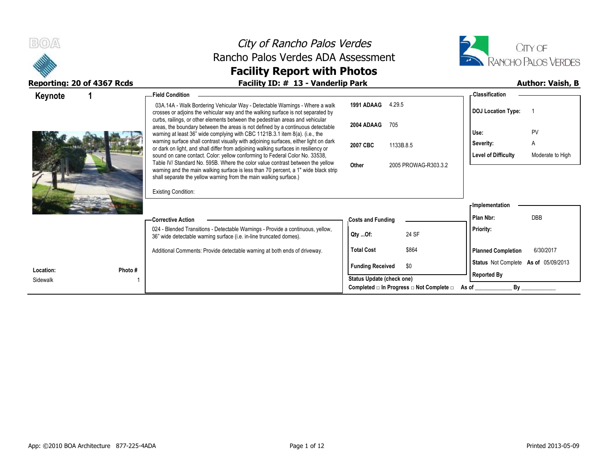



| Keynote                          | <b>Field Condition</b>                                                                                                                                                                                                                                                                                                    |                                                                  | <b>Classification</b>                   |
|----------------------------------|---------------------------------------------------------------------------------------------------------------------------------------------------------------------------------------------------------------------------------------------------------------------------------------------------------------------------|------------------------------------------------------------------|-----------------------------------------|
|                                  | 03A.14A - Walk Bordering Vehicular Way - Detectable Warnings - Where a walk<br>crosses or adjoins the vehicular way and the walking surface is not separated by<br>curbs, railings, or other elements between the pedestrian areas and vehicular                                                                          | 1991 ADAAG<br>4.29.5                                             | <b>DOJ</b> Location Type:               |
|                                  | areas, the boundary between the areas is not defined by a continuous detectable<br>warning at least 36" wide complying with CBC 1121B.3.1 item 8(a). (i.e., the                                                                                                                                                           | 2004 ADAAG<br>705                                                | PV<br>Use:                              |
|                                  | warning surface shall contrast visually with adjoining surfaces, either light on dark<br>or dark on light, and shall differ from adjoining walking surfaces in resiliency or                                                                                                                                              | 2007 CBC<br>1133B.8.5                                            | A<br>Severity:                          |
|                                  | sound on cane contact. Color: yellow conforming to Federal Color No. 33538,<br>Table IV/ Standard No. 595B. Where the color value contrast between the yellow<br>warning and the main walking surface is less than 70 percent, a 1" wide black strip<br>shall separate the yellow warning from the main walking surface.) | Other<br>2005 PROWAG-R303.3.2                                    | Level of Difficulty<br>Moderate to High |
|                                  | <b>Existing Condition:</b>                                                                                                                                                                                                                                                                                                |                                                                  |                                         |
|                                  |                                                                                                                                                                                                                                                                                                                           |                                                                  | Implementation                          |
|                                  | – Corrective Action                                                                                                                                                                                                                                                                                                       | <b>Costs and Funding</b>                                         | <b>DBB</b><br>Plan Nbr:                 |
|                                  | 024 - Blended Transitions - Detectable Warnings - Provide a continuous, yellow,<br>36" wide detectable warning surface (i.e. in-line truncated domes).                                                                                                                                                                    | 24 SF<br>Qty Of:                                                 | <b>Priority:</b>                        |
|                                  | Additional Comments: Provide detectable warning at both ends of driveway.                                                                                                                                                                                                                                                 | \$864<br><b>Total Cost</b>                                       | <b>Planned Completion</b><br>6/30/2017  |
|                                  |                                                                                                                                                                                                                                                                                                                           | \$0<br><b>Funding Received</b>                                   | Status Not Complete As of 05/09/2013    |
| Location:<br>Photo #<br>Sidewalk |                                                                                                                                                                                                                                                                                                                           | Status Update (check one)                                        | <b>Reported By</b>                      |
|                                  |                                                                                                                                                                                                                                                                                                                           | Completed $\square$ In Progress $\square$ Not Complete $\square$ | By<br>As of                             |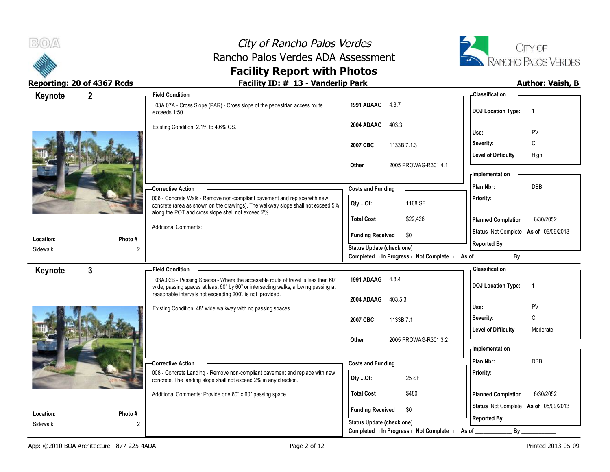



### **Reporting: 20 of 4367 Rcds Facility ID: # 13 - Vanderlip Park Author: Vaish, B**

| Keynote   | $2^{\circ}$    | -Field Condition                                                                                                                                            |                                                                                      | - Classification                            |
|-----------|----------------|-------------------------------------------------------------------------------------------------------------------------------------------------------------|--------------------------------------------------------------------------------------|---------------------------------------------|
|           |                | 03A.07A - Cross Slope (PAR) - Cross slope of the pedestrian access route<br>exceeds 1:50.                                                                   | 1991 ADAAG 4.3.7                                                                     | <b>DOJ Location Type:</b><br>$\overline{1}$ |
|           |                | Existing Condition: 2.1% to 4.6% CS.                                                                                                                        | 2004 ADAAG<br>403.3                                                                  |                                             |
|           |                |                                                                                                                                                             |                                                                                      | PV<br>Use:                                  |
|           |                |                                                                                                                                                             | 2007 CBC<br>1133B.7.1.3                                                              | Severity:<br>C                              |
|           |                |                                                                                                                                                             |                                                                                      | Level of Difficulty<br>High                 |
|           |                |                                                                                                                                                             | 2005 PROWAG-R301.4.1<br>Other                                                        | - Implementation                            |
|           |                |                                                                                                                                                             |                                                                                      | <b>DBB</b>                                  |
|           |                | <b>Corrective Action</b>                                                                                                                                    | <b>Costs and Funding</b>                                                             | Plan Nbr:                                   |
|           |                | 006 - Concrete Walk - Remove non-compliant pavement and replace with new<br>concrete (area as shown on the drawings). The walkway slope shall not exceed 5% | 1168 SF<br>Qty Of:                                                                   | Priority:                                   |
|           |                | along the POT and cross slope shall not exceed 2%.                                                                                                          | <b>Total Cost</b><br>\$22,426                                                        | <b>Planned Completion</b><br>6/30/2052      |
|           |                | <b>Additional Comments:</b>                                                                                                                                 |                                                                                      | Status Not Complete As of 05/09/2013        |
| Location: | Photo#         |                                                                                                                                                             | <b>Funding Received</b><br>\$0                                                       | <b>Reported By</b>                          |
| Sidewalk  |                |                                                                                                                                                             | Status Update (check one)<br>Completed □ In Progress □ Not Complete □ As of ________ |                                             |
|           |                |                                                                                                                                                             |                                                                                      |                                             |
| Keynote   | $3\phantom{a}$ | <b>Field Condition</b>                                                                                                                                      |                                                                                      | <b>Classification</b>                       |
|           |                | 03A.02B - Passing Spaces - Where the accessible route of travel is less than 60"                                                                            | 1991 ADAAG 4.3.4                                                                     | <b>DOJ Location Type:</b><br>$\overline{1}$ |
|           |                |                                                                                                                                                             |                                                                                      |                                             |
|           |                | wide, passing spaces at least 60" by 60" or intersecting walks, allowing passing at<br>reasonable intervals not exceeding 200', is not provided.            |                                                                                      |                                             |
|           |                |                                                                                                                                                             | 2004 ADAAG<br>403.5.3                                                                | PV<br>Use:                                  |
|           |                | Existing Condition: 48" wide walkway with no passing spaces.                                                                                                | 2007 CBC<br>1133B.7.1                                                                | C<br>Severity:                              |
|           |                |                                                                                                                                                             |                                                                                      | <b>Level of Difficulty</b><br>Moderate      |
|           |                |                                                                                                                                                             | 2005 PROWAG-R301.3.2<br>Other                                                        |                                             |
|           |                |                                                                                                                                                             |                                                                                      | - Implementation                            |
|           |                | Corrective Action                                                                                                                                           | <b>Costs and Funding</b>                                                             | Plan Nbr:<br>DBB                            |
|           |                | 008 - Concrete Landing - Remove non-compliant pavement and replace with new                                                                                 | 25 SF<br>Qty Of:                                                                     | Priority:                                   |
|           |                | concrete. The landing slope shall not exceed 2% in any direction.                                                                                           |                                                                                      |                                             |
|           |                | Additional Comments: Provide one 60" x 60" passing space.                                                                                                   | <b>Total Cost</b><br>\$480                                                           | 6/30/2052<br><b>Planned Completion</b>      |
| Location: | Photo#         |                                                                                                                                                             | <b>Funding Received</b><br>\$0                                                       | Status Not Complete As of 05/09/2013        |
| Sidewalk  | $\overline{2}$ |                                                                                                                                                             | Status Update (check one)                                                            | <b>Reported By</b><br>$By_$                 |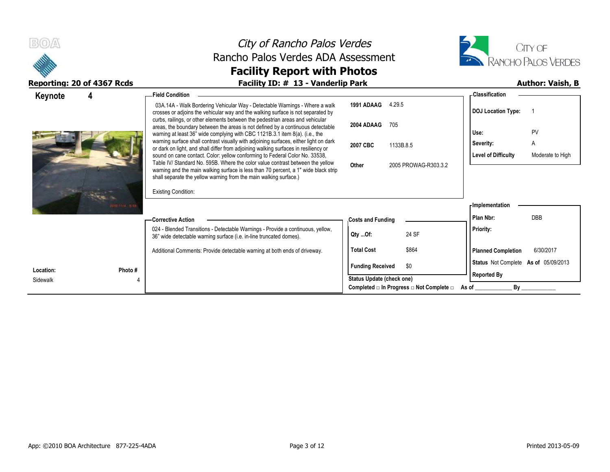



### Reporting: 20 of 4367 Rcds **Facility ID: # 13 - Vanderlip Park Author: Vaish, B**

| Keynote   | 4            | <b>Field Condition</b>                                                                                                                                                       |                           |                                                                  | - Classification                     |                  |
|-----------|--------------|------------------------------------------------------------------------------------------------------------------------------------------------------------------------------|---------------------------|------------------------------------------------------------------|--------------------------------------|------------------|
|           |              | 03A.14A - Walk Bordering Vehicular Way - Detectable Warnings - Where a walk<br>crosses or adjoins the vehicular way and the walking surface is not separated by              | 1991 ADAAG                | 4.29.5                                                           | <b>DOJ</b> Location Type:            |                  |
|           |              | curbs, railings, or other elements between the pedestrian areas and vehicular<br>areas, the boundary between the areas is not defined by a continuous detectable             | 2004 ADAAG                | 705                                                              |                                      |                  |
|           |              | warning at least 36" wide complying with CBC 1121B.3.1 item 8(a). (i.e., the                                                                                                 |                           |                                                                  | Use:                                 | PV               |
|           |              | warning surface shall contrast visually with adjoining surfaces, either light on dark<br>or dark on light, and shall differ from adjoining walking surfaces in resiliency or | 2007 CBC                  | 1133B.8.5                                                        | Severity:                            | A                |
|           |              | sound on cane contact. Color: yellow conforming to Federal Color No. 33538,<br>Table IV/ Standard No. 595B. Where the color value contrast between the yellow                | Other                     | 2005 PROWAG-R303.3.2                                             | <b>Level of Difficulty</b>           | Moderate to High |
|           |              | warning and the main walking surface is less than 70 percent, a 1" wide black strip<br>shall separate the yellow warning from the main walking surface.)                     |                           |                                                                  |                                      |                  |
|           |              | <b>Existing Condition:</b>                                                                                                                                                   |                           |                                                                  |                                      |                  |
|           | 2011114 8-80 |                                                                                                                                                                              |                           |                                                                  | <b>Implementation</b>                |                  |
|           |              | — Corrective Action                                                                                                                                                          | <b>Costs and Funding</b>  |                                                                  | Plan Nbr:                            | <b>DBB</b>       |
|           |              | 024 - Blended Transitions - Detectable Warnings - Provide a continuous, yellow,<br>36" wide detectable warning surface (i.e. in-line truncated domes).                       | Qty Of:                   | 24 SF                                                            | <b>Priority:</b>                     |                  |
|           |              | Additional Comments: Provide detectable warning at both ends of driveway.                                                                                                    | <b>Total Cost</b>         | \$864                                                            | <b>Planned Completion</b>            | 6/30/2017        |
| Location: | Photo #      |                                                                                                                                                                              | <b>Funding Received</b>   | \$0                                                              | Status Not Complete As of 05/09/2013 |                  |
| Sidewalk  |              |                                                                                                                                                                              | Status Update (check one) |                                                                  | <b>Reported By</b>                   |                  |
|           |              |                                                                                                                                                                              |                           | Completed $\square$ In Progress $\square$ Not Complete $\square$ | By<br>As of                          |                  |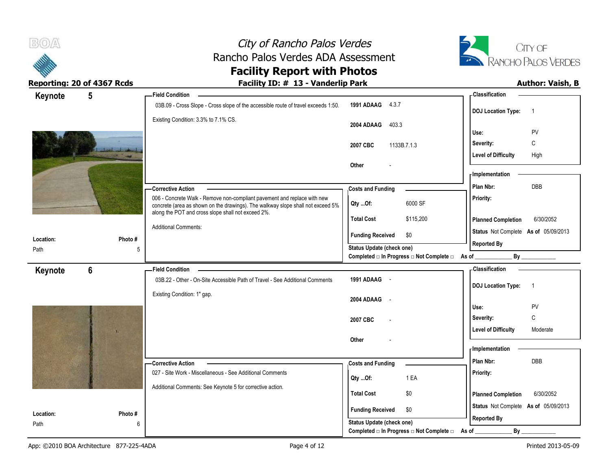



| Keynote           | $5\phantom{.0}$ |             | <b>Field Condition</b>                                                                                                                |                                                      |                                                  | - Classification                     |                |
|-------------------|-----------------|-------------|---------------------------------------------------------------------------------------------------------------------------------------|------------------------------------------------------|--------------------------------------------------|--------------------------------------|----------------|
|                   |                 |             | 03B.09 - Cross Slope - Cross slope of the accessible route of travel exceeds 1:50.                                                    | 1991 ADAAG 4.3.7                                     |                                                  | <b>DOJ Location Type:</b>            | $\overline{1}$ |
|                   |                 |             | Existing Condition: 3.3% to 7.1% CS.                                                                                                  | 2004 ADAAG<br>403.3                                  |                                                  |                                      |                |
|                   |                 |             |                                                                                                                                       |                                                      |                                                  | Use:                                 | PV             |
|                   |                 |             |                                                                                                                                       | 2007 CBC                                             | 1133B.7.1.3                                      | Severity:                            | C              |
|                   |                 |             |                                                                                                                                       |                                                      |                                                  | <b>Level of Difficulty</b>           | High           |
|                   |                 |             |                                                                                                                                       | Other                                                |                                                  | - Implementation                     |                |
|                   |                 |             |                                                                                                                                       |                                                      |                                                  | Plan Nbr:                            | DBB            |
|                   |                 |             | -Corrective Action<br>006 - Concrete Walk - Remove non-compliant pavement and replace with new                                        | <b>Costs and Funding</b>                             |                                                  | Priority:                            |                |
|                   |                 |             | concrete (area as shown on the drawings). The walkway slope shall not exceed 5%<br>along the POT and cross slope shall not exceed 2%. | Qty Of:                                              | 6000 SF                                          |                                      |                |
|                   |                 |             |                                                                                                                                       | <b>Total Cost</b>                                    | \$115,200                                        | <b>Planned Completion</b>            | 6/30/2052      |
| Location:         |                 | Photo#      | <b>Additional Comments:</b>                                                                                                           | <b>Funding Received</b>                              | \$0                                              | Status Not Complete As of 05/09/2013 |                |
| Path              |                 | 5           |                                                                                                                                       | Status Update (check one)                            |                                                  | <b>Reported By</b>                   |                |
|                   |                 |             |                                                                                                                                       |                                                      | Completed □ In Progress □ Not Complete □ As of _ |                                      | By             |
| Keynote           | 6               |             | <b>Field Condition</b>                                                                                                                |                                                      |                                                  | <b>Classification</b>                |                |
|                   |                 |             | 03B.22 - Other - On-Site Accessible Path of Travel - See Additional Comments                                                          | 1991 ADAAG -                                         |                                                  | <b>DOJ Location Type:</b>            | $\overline{1}$ |
|                   |                 |             | Existing Condition: 1" gap.                                                                                                           | 2004 ADAAG -                                         |                                                  |                                      |                |
|                   |                 |             |                                                                                                                                       |                                                      |                                                  | Use:                                 | PV             |
|                   |                 |             |                                                                                                                                       | 2007 CBC                                             |                                                  | Severity:                            | $\mathbb C$    |
|                   |                 |             |                                                                                                                                       |                                                      |                                                  | <b>Level of Difficulty</b>           | Moderate       |
|                   |                 |             |                                                                                                                                       | Other                                                |                                                  | - Implementation                     |                |
|                   |                 |             |                                                                                                                                       |                                                      |                                                  | Plan Nbr:                            |                |
|                   |                 |             | - Corrective Action<br>027 - Site Work - Miscellaneous - See Additional Comments                                                      | <b>Costs and Funding</b>                             |                                                  | Priority:                            | DBB            |
|                   |                 |             |                                                                                                                                       |                                                      |                                                  |                                      |                |
|                   |                 |             |                                                                                                                                       | Qty Of:                                              | 1 EA                                             |                                      |                |
|                   |                 |             | Additional Comments: See Keynote 5 for corrective action.                                                                             | <b>Total Cost</b>                                    | \$0                                              | <b>Planned Completion</b>            | 6/30/2052      |
|                   |                 |             |                                                                                                                                       |                                                      |                                                  | Status Not Complete As of 05/09/2013 |                |
| Location:<br>Path |                 | Photo#<br>6 |                                                                                                                                       | <b>Funding Received</b><br>Status Update (check one) | \$0                                              | <b>Reported By</b>                   |                |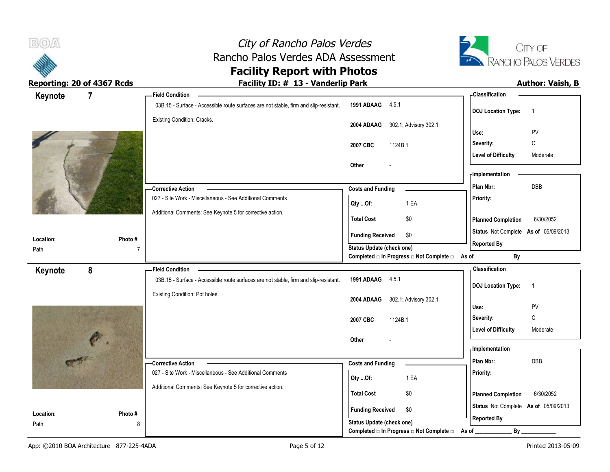



| Keynote<br>$\overline{7}$ |                          | <b>Field Condition</b>                                                                                                 |                                                   | - Classification                                           |
|---------------------------|--------------------------|------------------------------------------------------------------------------------------------------------------------|---------------------------------------------------|------------------------------------------------------------|
|                           |                          | 03B.15 - Surface - Accessible route surfaces are not stable, firm and slip-resistant.                                  | 1991 ADAAG 4.5.1                                  | <b>DOJ Location Type:</b><br>$\overline{1}$                |
|                           |                          | Existing Condition: Cracks.                                                                                            | 2004 ADAAG 302.1; Advisory 302.1                  | PV<br>Use:                                                 |
|                           |                          |                                                                                                                        | 2007 CBC<br>1124B.1                               | С<br>Severity:                                             |
|                           |                          |                                                                                                                        |                                                   | <b>Level of Difficulty</b><br>Moderate                     |
|                           |                          |                                                                                                                        | Other                                             | - Implementation                                           |
|                           |                          | -Corrective Action                                                                                                     | <b>Costs and Funding</b>                          | DBB<br>Plan Nbr:                                           |
|                           |                          | 027 - Site Work - Miscellaneous - See Additional Comments<br>Additional Comments: See Keynote 5 for corrective action. | 1 EA<br>Qty  Of:                                  | Priority:                                                  |
|                           |                          |                                                                                                                        | <b>Total Cost</b><br>\$0                          | <b>Planned Completion</b><br>6/30/2052                     |
|                           |                          |                                                                                                                        | <b>Funding Received</b><br>\$0                    | Status Not Complete As of 05/09/2013                       |
| Location:                 | Photo#<br>$\overline{7}$ |                                                                                                                        | <b>Status Update (check one)</b>                  | <b>Reported By</b>                                         |
| Path                      |                          |                                                                                                                        | Completed □ In Progress □ Not Complete □ As of __ | By                                                         |
| 8<br>Keynote              |                          | <b>Field Condition</b>                                                                                                 |                                                   | - Classification                                           |
|                           |                          | 03B.15 - Surface - Accessible route surfaces are not stable, firm and slip-resistant.                                  | 1991 ADAAG 4.5.1                                  | <b>DOJ Location Type:</b><br>$\overline{1}$                |
|                           |                          | Existing Condition: Pot holes.                                                                                         | 2004 ADAAG<br>302.1; Advisory 302.1               | Use:<br>PV                                                 |
|                           |                          |                                                                                                                        | 2007 CBC<br>1124B.1                               | $\mathbb C$<br>Severity:                                   |
|                           |                          |                                                                                                                        |                                                   | <b>Level of Difficulty</b><br>Moderate                     |
|                           |                          |                                                                                                                        | Other                                             |                                                            |
|                           |                          |                                                                                                                        |                                                   | <b>Implementation</b>                                      |
|                           |                          | -Corrective Action                                                                                                     | <b>Costs and Funding</b>                          | Plan Nbr:<br>DBB                                           |
|                           |                          | 027 - Site Work - Miscellaneous - See Additional Comments                                                              | 1 EA<br>Qty Of:                                   | Priority:                                                  |
|                           |                          | Additional Comments: See Keynote 5 for corrective action.                                                              | <b>Total Cost</b><br>\$0                          | <b>Planned Completion</b><br>6/30/2052                     |
| Location:                 | Photo#                   |                                                                                                                        | <b>Funding Received</b><br>\$0                    | Status Not Complete As of 05/09/2013<br><b>Reported By</b> |
| Path                      | 8                        |                                                                                                                        | Status Update (check one)                         |                                                            |
|                           |                          |                                                                                                                        | Completed □ In Progress □ Not Complete □          | By<br>As of                                                |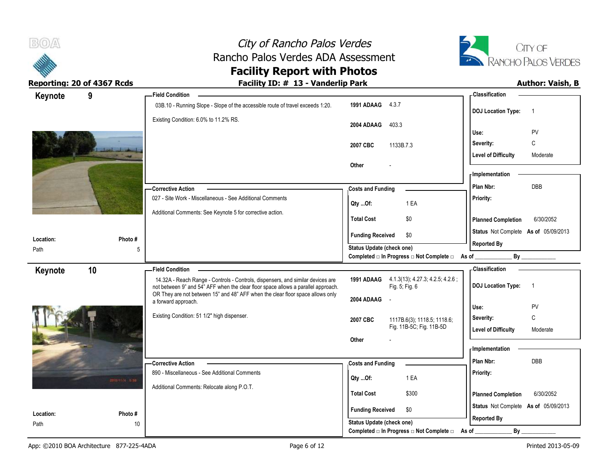



| Keynote           | 9               | <b>Field Condition</b>                                                                                |                                                                       | - Classification                            |
|-------------------|-----------------|-------------------------------------------------------------------------------------------------------|-----------------------------------------------------------------------|---------------------------------------------|
|                   |                 | 03B.10 - Running Slope - Slope of the accessible route of travel exceeds 1:20.                        | 1991 ADAAG 4.3.7                                                      | <b>DOJ Location Type:</b><br>$\overline{1}$ |
|                   |                 | Existing Condition: 6.0% to 11.2% RS.                                                                 | 2004 ADAAG<br>403.3                                                   | Use:<br>PV                                  |
|                   |                 |                                                                                                       |                                                                       | $\mathbb C$<br>Severity:                    |
|                   |                 |                                                                                                       | 2007 CBC<br>1133B.7.3                                                 | <b>Level of Difficulty</b><br>Moderate      |
|                   |                 |                                                                                                       | Other                                                                 |                                             |
|                   |                 |                                                                                                       |                                                                       | - Implementation                            |
|                   |                 | - Corrective Action                                                                                   | <b>Costs and Funding</b>                                              | Plan Nbr:<br>DBB                            |
|                   |                 | 027 - Site Work - Miscellaneous - See Additional Comments                                             | 1 EA<br>Qty Of:                                                       | Priority:                                   |
|                   |                 | Additional Comments: See Keynote 5 for corrective action.                                             | <b>Total Cost</b><br>\$0                                              | <b>Planned Completion</b><br>6/30/2052      |
|                   |                 |                                                                                                       | <b>Funding Received</b><br>\$0                                        | Status Not Complete As of 05/09/2013        |
| Location:<br>Path | Photo#<br>5     |                                                                                                       | Status Update (check one)                                             | <b>Reported By</b>                          |
|                   |                 |                                                                                                       | Completed □ In Progress □ Not Complete □ As of                        | By                                          |
| Keynote           | 10              | <b>Field Condition</b>                                                                                |                                                                       | - Classification                            |
|                   |                 | 14.32A - Reach Range - Controls - Controls, dispensers, and similar devices are                       | 1991 ADAAG 4.1.3(13), 4.27.3, 4.2.5, 4.2.6;                           |                                             |
|                   |                 | not between 9" and 54" AFF when the clear floor space allows a parallel approach.                     | Fig. 5; Fig. 6                                                        | <b>DOJ</b> Location Type:<br>$\overline{1}$ |
|                   |                 | OR They are not between 15" and 48" AFF when the clear floor space allows only<br>a forward approach. | 2004 ADAAG                                                            |                                             |
|                   |                 |                                                                                                       |                                                                       | Use:<br>PV                                  |
|                   |                 | Existing Condition: 51 1/2" high dispenser.                                                           | 2007 CBC<br>1117B.6(3), 1118.5; 1118.6;                               | $\mathsf{C}$<br>Severity:                   |
|                   |                 |                                                                                                       | Fig. 11B-5C; Fig. 11B-5D<br>Other                                     | <b>Level of Difficulty</b><br>Moderate      |
|                   |                 |                                                                                                       |                                                                       | - Implementation                            |
|                   |                 | -Corrective Action                                                                                    | <b>Costs and Funding</b>                                              | Plan Nbr:<br>DBB                            |
|                   |                 | 890 - Miscellaneous - See Additional Comments                                                         |                                                                       | Priority:                                   |
|                   | anomic sale     | Additional Comments: Relocate along P.O.T.                                                            | 1 EA<br>Qty Of:                                                       |                                             |
|                   |                 |                                                                                                       | <b>Total Cost</b><br>\$300                                            | <b>Planned Completion</b><br>6/30/2052      |
| Location:         | Photo#          |                                                                                                       | <b>Funding Received</b><br>\$0                                        | Status Not Complete As of 05/09/2013        |
| Path              | 10 <sup>°</sup> |                                                                                                       | Status Update (check one)<br>Completed □ In Progress □ Not Complete □ | <b>Reported By</b><br>$By_$<br>As of        |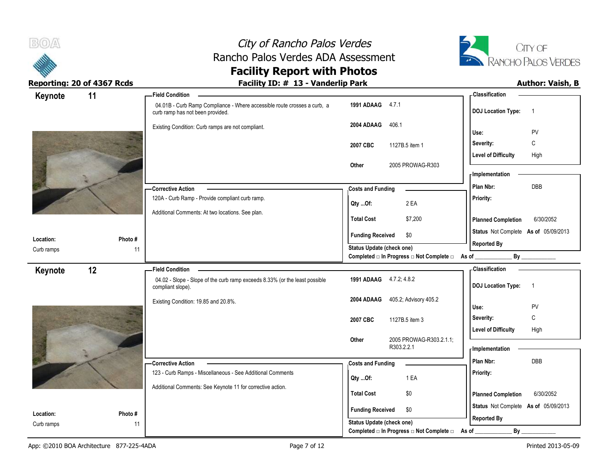



| Keynote                 | 11           | <b>Field Condition</b>                                                                                       |                                                  | - Classification                            |
|-------------------------|--------------|--------------------------------------------------------------------------------------------------------------|--------------------------------------------------|---------------------------------------------|
|                         |              | 04.01B - Curb Ramp Compliance - Where accessible route crosses a curb, a<br>curb ramp has not been provided. | 1991 ADAAG 4.7.1                                 | <b>DOJ Location Type:</b><br>$\overline{1}$ |
|                         |              | Existing Condition: Curb ramps are not compliant.                                                            | 2004 ADAAG<br>406.1                              | PV<br>Use:                                  |
|                         |              |                                                                                                              | 2007 CBC<br>1127B.5 item 1                       | C<br>Severity:                              |
|                         |              |                                                                                                              |                                                  | <b>Level of Difficulty</b><br>High          |
|                         |              |                                                                                                              | 2005 PROWAG-R303<br>Other                        |                                             |
|                         |              |                                                                                                              |                                                  | - Implementation                            |
|                         |              | -Corrective Action                                                                                           | <b>Costs and Funding</b>                         | DBB<br>Plan Nbr:                            |
|                         |              | 120A - Curb Ramp - Provide compliant curb ramp.                                                              | 2 EA<br>Qty Of:                                  | Priority:                                   |
|                         |              | Additional Comments: At two locations. See plan.                                                             | \$7,200<br><b>Total Cost</b>                     | <b>Planned Completion</b><br>6/30/2052      |
|                         |              |                                                                                                              | <b>Funding Received</b><br>\$0                   | Status Not Complete As of 05/09/2013        |
| Location:<br>Curb ramps | Photo#<br>11 |                                                                                                              | <b>Status Update (check one)</b>                 | <b>Reported By</b>                          |
|                         |              |                                                                                                              | Completed □ In Progress □ Not Complete □ As of _ | By                                          |
| Keynote                 | 12           | <b>Field Condition</b>                                                                                       |                                                  | - Classification                            |
|                         |              | 04.02 - Slope - Slope of the curb ramp exceeds 8.33% (or the least possible<br>compliant slope).             | 1991 ADAAG 4.7.2, 4.8.2                          | <b>DOJ Location Type:</b><br>$\overline{1}$ |
|                         |              | Existing Condition: 19.85 and 20.8%.                                                                         | 405.2; Advisory 405.2<br>2004 ADAAG              | Use:<br>PV                                  |
|                         |              |                                                                                                              |                                                  | $\mathbb C$<br>Severity:                    |
|                         |              |                                                                                                              | 2007 CBC<br>1127B.5 item 3                       | <b>Level of Difficulty</b><br>High          |
|                         |              |                                                                                                              | 2005 PROWAG-R303.2.1.1;<br>Other                 |                                             |
|                         |              |                                                                                                              | R303.2.2.1                                       | <b>Implementation</b>                       |
|                         |              |                                                                                                              |                                                  |                                             |
|                         |              | -Corrective Action                                                                                           |                                                  | Plan Nbr:<br>DBB                            |
|                         |              | 123 - Curb Ramps - Miscellaneous - See Additional Comments                                                   | <b>Costs and Funding</b>                         | Priority:                                   |
|                         |              |                                                                                                              | 1 EA<br>Qty Of:                                  |                                             |
|                         |              | Additional Comments: See Keynote 11 for corrective action.                                                   | <b>Total Cost</b><br>\$0                         | <b>Planned Completion</b><br>6/30/2052      |
| Location:               | Photo #      |                                                                                                              | <b>Funding Received</b><br>\$0                   | Status Not Complete As of 05/09/2013        |
| Curb ramps              | 11           |                                                                                                              | <b>Status Update (check one)</b>                 | <b>Reported By</b><br>By                    |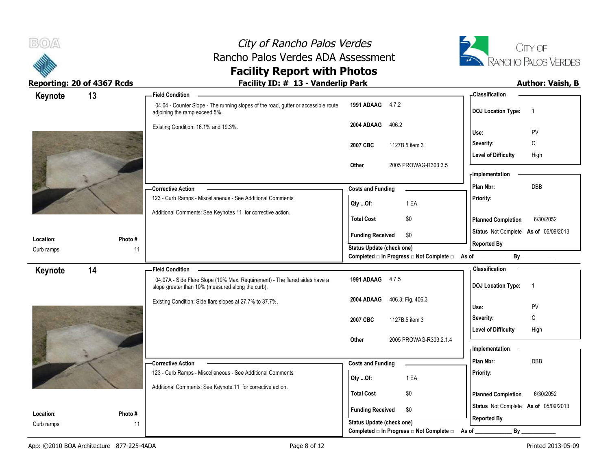



| Keynote                 | 13            | <b>Field Condition</b>                                                                                                          |                                                  | <b>Classification</b>                       |
|-------------------------|---------------|---------------------------------------------------------------------------------------------------------------------------------|--------------------------------------------------|---------------------------------------------|
|                         |               | 04.04 - Counter Slope - The running slopes of the road, gutter or accessible route<br>adjoining the ramp exceed 5%.             | 1991 ADAAG 4.7.2                                 | <b>DOJ Location Type:</b><br>$\overline{1}$ |
|                         |               | Existing Condition: 16.1% and 19.3%.                                                                                            | 2004 ADAAG<br>406.2                              | PV<br>Use:                                  |
|                         |               |                                                                                                                                 |                                                  | C<br>Severity:                              |
|                         |               |                                                                                                                                 | 2007 CBC<br>1127B.5 item 3                       | <b>Level of Difficulty</b><br>High          |
|                         |               |                                                                                                                                 | Other<br>2005 PROWAG-R303.3.5                    |                                             |
|                         |               |                                                                                                                                 |                                                  | - Implementation                            |
|                         |               | -Corrective Action                                                                                                              | <b>Costs and Funding</b>                         | DBB<br>Plan Nbr:                            |
|                         |               | 123 - Curb Ramps - Miscellaneous - See Additional Comments                                                                      |                                                  | Priority:                                   |
|                         |               | Additional Comments: See Keynotes 11 for corrective action.                                                                     | 1 EA<br>Qty Of:                                  |                                             |
|                         |               |                                                                                                                                 | \$0<br><b>Total Cost</b>                         | 6/30/2052<br><b>Planned Completion</b>      |
|                         |               |                                                                                                                                 | <b>Funding Received</b><br>\$0                   | Status Not Complete As of 05/09/2013        |
| Location:<br>Curb ramps | Photo #<br>11 |                                                                                                                                 | Status Update (check one)                        | <b>Reported By</b>                          |
|                         |               |                                                                                                                                 | Completed □ In Progress □ Not Complete □ As of _ | By                                          |
| Keynote                 | 14            | <b>Field Condition</b>                                                                                                          |                                                  | - Classification                            |
|                         |               | 04.07A - Side Flare Slope (10% Max. Requirement) - The flared sides have a<br>slope greater than 10% (measured along the curb). | 1991 ADAAG 4.7.5                                 | <b>DOJ Location Type:</b><br>$\overline{1}$ |
|                         |               | Existing Condition: Side flare slopes at 27.7% to 37.7%.                                                                        | 2004 ADAAG<br>406.3; Fig. 406.3                  |                                             |
|                         |               |                                                                                                                                 |                                                  | PV<br>Use:                                  |
|                         |               |                                                                                                                                 | 2007 CBC<br>1127B.5 item 3                       | C<br>Severity:                              |
|                         |               |                                                                                                                                 | 2005 PROWAG-R303.2.1.4<br>Other                  | High<br><b>Level of Difficulty</b>          |
|                         |               |                                                                                                                                 |                                                  | - Implementation                            |
|                         |               | -Corrective Action                                                                                                              | <b>Costs and Funding</b>                         | Plan Nbr:<br><b>DBB</b>                     |
|                         |               | 123 - Curb Ramps - Miscellaneous - See Additional Comments                                                                      |                                                  | Priority:                                   |
|                         |               | Additional Comments: See Keynote 11 for corrective action.                                                                      | 1 EA<br>Qty Of:                                  |                                             |
|                         |               |                                                                                                                                 | <b>Total Cost</b><br>\$0                         | <b>Planned Completion</b><br>6/30/2052      |
|                         |               |                                                                                                                                 | \$0<br><b>Funding Received</b>                   | Status Not Complete As of 05/09/2013        |
| Location:               | Photo#        |                                                                                                                                 | Status Update (check one)                        | <b>Reported By</b>                          |
| Curb ramps              | 11            |                                                                                                                                 | Completed □ In Progress □ Not Complete □         | By<br>As of                                 |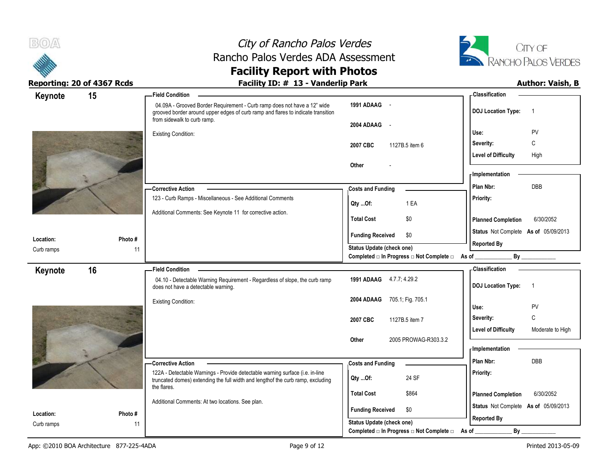



### **Reporting: 20 of 4367 Rcds Facility ID: # 13 - Vanderlip Park Author: Vaish, B**

| Keynote    | 15      | <b>Field Condition</b>                                                                                                                                                                      |                                                                       | <b>Classification</b>                          |
|------------|---------|---------------------------------------------------------------------------------------------------------------------------------------------------------------------------------------------|-----------------------------------------------------------------------|------------------------------------------------|
|            |         | 04.09A - Grooved Border Requirement - Curb ramp does not have a 12" wide<br>grooved border around upper edges of curb ramp and flares to indicate transition<br>from sidewalk to curb ramp. | 1991 ADAAG -                                                          | <b>DOJ</b> Location Type:<br>$\overline{1}$    |
|            |         |                                                                                                                                                                                             | 2004 ADAAG<br>$\sim$                                                  | PV<br>Use:                                     |
|            |         | <b>Existing Condition:</b>                                                                                                                                                                  |                                                                       | C<br>Severity:                                 |
|            |         |                                                                                                                                                                                             | 2007 CBC<br>1127B.5 item 6                                            |                                                |
|            |         |                                                                                                                                                                                             | <b>Other</b>                                                          | <b>Level of Difficulty</b><br>High             |
|            |         |                                                                                                                                                                                             |                                                                       | <b>Implementation</b>                          |
|            |         | -Corrective Action                                                                                                                                                                          |                                                                       | <b>DBB</b><br>Plan Nbr:                        |
|            |         | 123 - Curb Ramps - Miscellaneous - See Additional Comments                                                                                                                                  | <b>Costs and Funding</b>                                              | <b>Priority:</b>                               |
|            |         |                                                                                                                                                                                             | 1 EA<br>Qty Of:                                                       |                                                |
|            |         | Additional Comments: See Keynote 11 for corrective action.                                                                                                                                  | \$0<br><b>Total Cost</b>                                              | <b>Planned Completion</b><br>6/30/2052         |
|            |         |                                                                                                                                                                                             | <b>Funding Received</b><br>\$0                                        | Status Not Complete As of 05/09/2013           |
| Location:  | Photo # |                                                                                                                                                                                             |                                                                       | <b>Reported By</b>                             |
| Curb ramps |         | 11                                                                                                                                                                                          | Status Update (check one)<br>Completed □ In Progress □ Not Complete □ | By<br>As of $\_$                               |
| Keynote    | 16      | <b>Field Condition</b>                                                                                                                                                                      |                                                                       | <b>Classification</b>                          |
|            |         | 04.10 - Detectable Warning Requirement - Regardless of slope, the curb ramp<br>does not have a detectable warning.                                                                          | 1991 ADAAG 4.7.7, 4.29.2                                              | <b>DOJ Location Type:</b><br>$\overline{1}$    |
|            |         | <b>Existing Condition:</b>                                                                                                                                                                  | 2004 ADAAG<br>705.1; Fig. 705.1                                       |                                                |
|            |         |                                                                                                                                                                                             |                                                                       | PV<br>Use:                                     |
|            |         |                                                                                                                                                                                             | 2007 CBC<br>1127B.5 item 7                                            | $\mathtt{C}$<br>Severity:                      |
|            |         |                                                                                                                                                                                             | Other<br>2005 PROWAG-R303.3.2                                         | <b>Level of Difficulty</b><br>Moderate to High |
|            |         |                                                                                                                                                                                             |                                                                       | - Implementation                               |
|            |         |                                                                                                                                                                                             |                                                                       | Plan Nbr:<br><b>DBB</b>                        |
|            |         | -Corrective Action<br>122A - Detectable Warnings - Provide detectable warning surface (i.e. in-line                                                                                         | <b>Costs and Funding</b>                                              | Priority:                                      |
|            |         | truncated domes) extending the full width and lengthof the curb ramp, excluding                                                                                                             | 24 SF<br>Qty Of:                                                      |                                                |
|            |         | the flares.                                                                                                                                                                                 | <b>Total Cost</b><br>\$864                                            | <b>Planned Completion</b><br>6/30/2052         |
|            |         | Additional Comments: At two locations. See plan.                                                                                                                                            |                                                                       | Status Not Complete As of 05/09/2013           |
| Location:  | Photo#  |                                                                                                                                                                                             | <b>Funding Received</b><br>\$0                                        | <b>Reported By</b>                             |
|            |         |                                                                                                                                                                                             |                                                                       |                                                |
| Curb ramps |         | 11                                                                                                                                                                                          | Status Update (check one)<br>Completed □ In Progress □ Not Complete □ | By<br>As of                                    |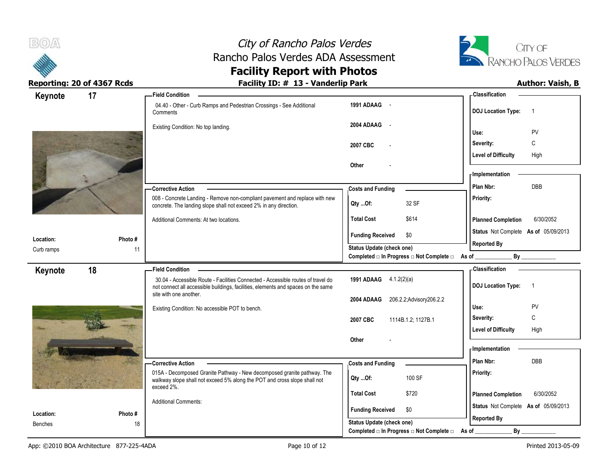



| Keynote                     | 17           | - Field Condition                                                                                                                                                                               |                                                                          | - Classification                            |
|-----------------------------|--------------|-------------------------------------------------------------------------------------------------------------------------------------------------------------------------------------------------|--------------------------------------------------------------------------|---------------------------------------------|
|                             |              | 04.40 - Other - Curb Ramps and Pedestrian Crossings - See Additional<br>Comments                                                                                                                | 1991 ADAAG -                                                             | <b>DOJ Location Type:</b><br>$\overline{1}$ |
|                             |              | Existing Condition: No top landing.                                                                                                                                                             | 2004 ADAAG<br>$\sim$ $\sim$                                              | Use:<br>PV                                  |
|                             |              |                                                                                                                                                                                                 | 2007 CBC                                                                 | C<br>Severity:                              |
|                             |              |                                                                                                                                                                                                 |                                                                          | <b>Level of Difficulty</b><br>High          |
|                             |              |                                                                                                                                                                                                 | Other                                                                    |                                             |
|                             |              |                                                                                                                                                                                                 |                                                                          | - Implementation                            |
|                             |              | - Corrective Action                                                                                                                                                                             | <b>Costs and Funding</b>                                                 | DBB<br>Plan Nbr:                            |
|                             |              | 008 - Concrete Landing - Remove non-compliant pavement and replace with new<br>concrete. The landing slope shall not exceed 2% in any direction.                                                | 32 SF<br>QtyOf:                                                          | Priority:                                   |
|                             |              | Additional Comments: At two locations.                                                                                                                                                          | \$614<br><b>Total Cost</b>                                               | <b>Planned Completion</b><br>6/30/2052      |
| Location:                   | Photo#       |                                                                                                                                                                                                 | <b>Funding Received</b><br>\$0                                           | Status Not Complete As of 05/09/2013        |
| Curb ramps                  | 11           |                                                                                                                                                                                                 | Status Update (check one)                                                | <b>Reported By</b>                          |
|                             |              |                                                                                                                                                                                                 | Completed $\square$ In Progress $\square$ Not Complete $\square$ As of _ |                                             |
| Keynote                     | 18           | <b>Field Condition</b>                                                                                                                                                                          |                                                                          | - Classification                            |
|                             |              | 30.04 - Accessible Route - Facilities Connected - Accessible routes of travel do<br>not connect all accessible buildings, facilities, elements and spaces on the same<br>site with one another. | <b>1991 ADAAG</b> 4.1.2(2)(a)                                            | <b>DOJ Location Type:</b><br>$\overline{1}$ |
|                             |              |                                                                                                                                                                                                 | 206.2.2; Advisory 206.2.2<br>2004 ADAAG                                  |                                             |
|                             |              | Existing Condition: No accessible POT to bench.                                                                                                                                                 |                                                                          | PV<br>Use:<br>C<br>Severity:                |
|                             |              |                                                                                                                                                                                                 | 2007 CBC<br>1114B.1.2; 1127B.1                                           | <b>Level of Difficulty</b><br>High          |
|                             |              |                                                                                                                                                                                                 | Other                                                                    |                                             |
|                             |              |                                                                                                                                                                                                 |                                                                          | <b>Implementation</b>                       |
|                             |              | <b>Corrective Action</b>                                                                                                                                                                        | <b>Costs and Funding</b>                                                 | Plan Nbr:<br>DBB                            |
|                             |              | 015A - Decomposed Granite Pathway - New decomposed granite pathway. The<br>walkway slope shall not exceed 5% along the POT and cross slope shall not                                            | 100 SF<br>Qty Of:                                                        | Priority:                                   |
|                             |              | exceed 2%.                                                                                                                                                                                      |                                                                          |                                             |
|                             |              |                                                                                                                                                                                                 | <b>Total Cost</b><br>\$720                                               | <b>Planned Completion</b><br>6/30/2052      |
|                             |              | <b>Additional Comments:</b>                                                                                                                                                                     |                                                                          | Status Not Complete As of 05/09/2013        |
| Location:<br><b>Benches</b> | Photo#<br>18 |                                                                                                                                                                                                 | <b>Funding Received</b><br>\$0<br>Status Update (check one)              | <b>Reported By</b>                          |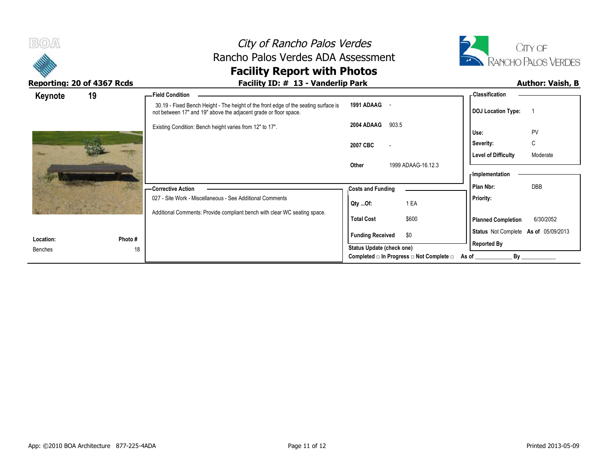



| Keynote              | 19            | -Field Condition                                                                                                                                        |                           |                                          | - Classification                                                                                                                                                                                                                     |           |
|----------------------|---------------|---------------------------------------------------------------------------------------------------------------------------------------------------------|---------------------------|------------------------------------------|--------------------------------------------------------------------------------------------------------------------------------------------------------------------------------------------------------------------------------------|-----------|
|                      |               | 30.19 - Fixed Bench Height - The height of the front edge of the seating surface is<br>not between 17" and 19" above the adjacent grade or floor space. | 1991 ADAAG -              |                                          | <b>DOJ Location Type:</b>                                                                                                                                                                                                            |           |
|                      |               | Existing Condition: Bench height varies from 12" to 17".                                                                                                | 2004 ADAAG                | 903.5                                    | Use:                                                                                                                                                                                                                                 | PV        |
|                      |               |                                                                                                                                                         | 2007 CBC                  | $\overline{\phantom{a}}$                 | Severity:                                                                                                                                                                                                                            | C         |
|                      |               |                                                                                                                                                         | Other                     | 1999 ADAAG-16.12.3                       | <b>Level of Difficulty</b><br>- Implementation                                                                                                                                                                                       | Moderate  |
|                      |               | - Corrective Action                                                                                                                                     | <b>Costs and Funding</b>  |                                          | Plan Nbr:                                                                                                                                                                                                                            | DBB       |
|                      |               | 027 - Site Work - Miscellaneous - See Additional Comments                                                                                               | Qty Of:                   | 1 EA                                     | Priority:                                                                                                                                                                                                                            |           |
|                      |               | Additional Comments: Provide compliant bench with clear WC seating space.                                                                               | <b>Total Cost</b>         | \$600                                    | <b>Planned Completion</b>                                                                                                                                                                                                            | 6/30/2052 |
|                      |               |                                                                                                                                                         | <b>Funding Received</b>   | \$0                                      | Status Not Complete As of 05/09/2013                                                                                                                                                                                                 |           |
| Location:<br>Benches | Photo #<br>18 |                                                                                                                                                         | Status Update (check one) |                                          | <b>Reported By</b>                                                                                                                                                                                                                   |           |
|                      |               |                                                                                                                                                         |                           | Completed □ In Progress □ Not Complete □ | Bv<br>As of the contract of the contract of the contract of the contract of the contract of the contract of the contract of the contract of the contract of the contract of the contract of the contract of the contract of the cont |           |